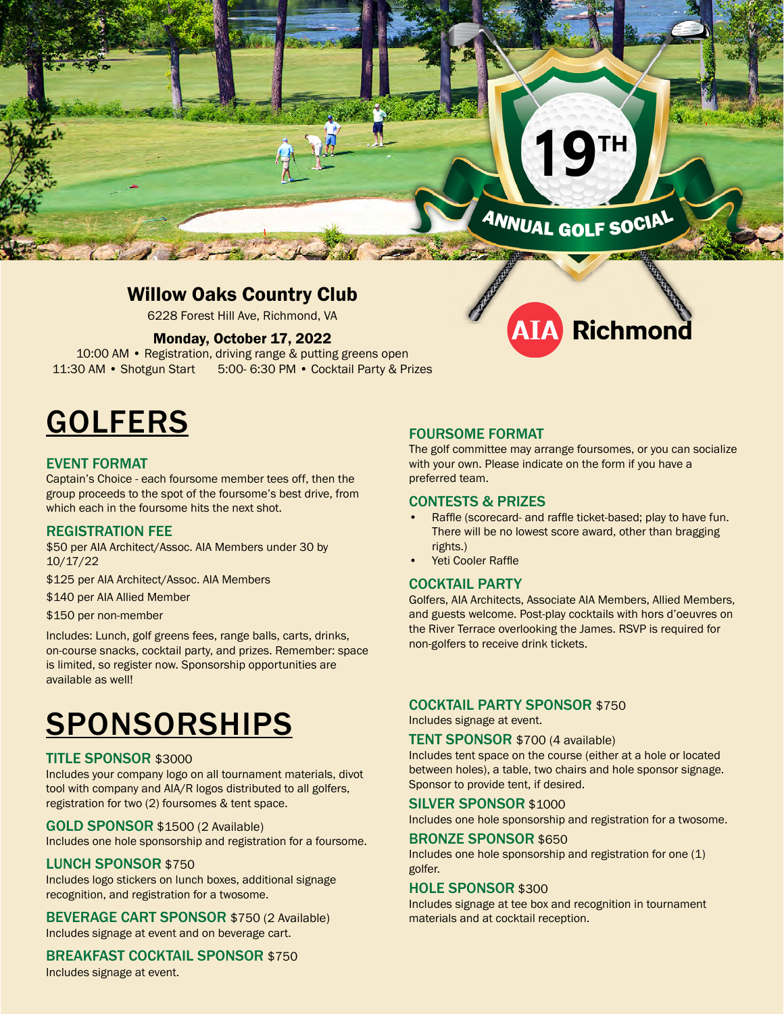# **19TH**

ANNUAL GOLF SOCIAL

**Richmond** 

#### Willow Oaks Country Club

6228 Forest Hill Ave, Richmond, VA

#### Monday, October 17, 2022

10:00 AM • Registration, driving range & putting greens open 11:30 AM • Shotgun Start 5:00- 6:30 PM • Cocktail Party & Prizes

## **GOLFERS**

#### EVENT FORMAT

Captain's Choice - each foursome member tees off, then the group proceeds to the spot of the foursome's best drive, from which each in the foursome hits the next shot.

#### REGISTRATION FEE

\$50 per AIA Architect/Assoc. AIA Members under 30 by 10/17/22

\$125 per AIA Architect/Assoc. AIA Members

\$140 per AIA Allied Member

\$150 per non-member

Includes: Lunch, golf greens fees, range balls, carts, drinks, on-course snacks, cocktail party, and prizes. Remember: space is limited, so register now. Sponsorship opportunities are available as well!

## SPONSORSHIPS

#### TITLE SPONSOR \$3000

Includes your company logo on all tournament materials, divot tool with company and AIA/R logos distributed to all golfers, registration for two (2) foursomes & tent space.

#### GOLD SPONSOR \$1500 (2 Available)

Includes one hole sponsorship and registration for a foursome.

#### LUNCH SPONSOR \$750

Includes logo stickers on lunch boxes, additional signage recognition, and registration for a twosome.

BEVERAGE CART SPONSOR \$750 (2 Available) Includes signage at event and on beverage cart.

#### BREAKFAST COCKTAIL SPONSOR \$750 Includes signage at event.

#### FOURSOME FORMAT

The golf committee may arrange foursomes, or you can socialize with your own. Please indicate on the form if you have a preferred team.

#### CONTESTS & PRIZES

- Raffle (scorecard- and raffle ticket-based; play to have fun. There will be no lowest score award, other than bragging rights.)
- Yeti Cooler Raffle

#### COCKTAIL PARTY

Golfers, AIA Architects, Associate AIA Members, Allied Members, and guests welcome. Post-play cocktails with hors d'oeuvres on the River Terrace overlooking the James. RSVP is required for non-golfers to receive drink tickets.

#### COCKTAIL PARTY SPONSOR \$750

Includes signage at event.

#### TENT SPONSOR \$700 (4 available)

Includes tent space on the course (either at a hole or located between holes), a table, two chairs and hole sponsor signage. Sponsor to provide tent, if desired.

#### SILVER SPONSOR \$1000

Includes one hole sponsorship and registration for a twosome.

#### BRONZE SPONSOR \$650

Includes one hole sponsorship and registration for one (1) golfer.

#### HOLE SPONSOR \$300

Includes signage at tee box and recognition in tournament materials and at cocktail reception.